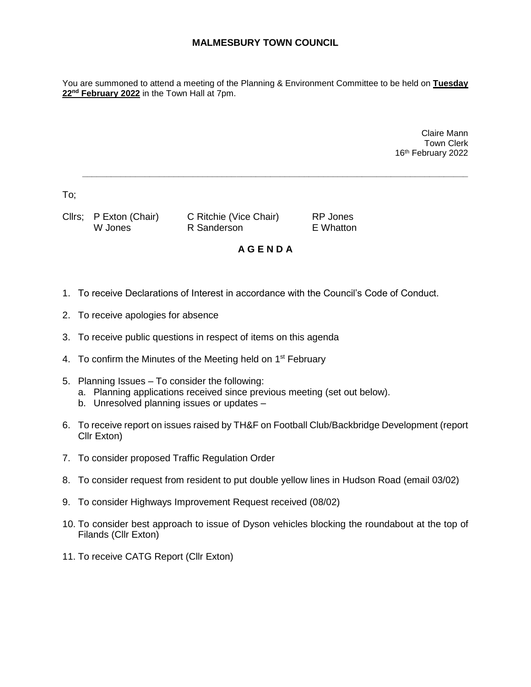## **MALMESBURY TOWN COUNCIL**

You are summoned to attend a meeting of the Planning & Environment Committee to be held on **Tuesday 22nd February 2022** in the Town Hall at 7pm.

> Claire Mann Town Clerk 16th February 2022

To;

Cllrs; P Exton (Chair) C Ritchie (Vice Chair) RP Jones W Jones **R** Sanderson **E** Whatton

## **A G E N D A**

**\_\_\_\_\_\_\_\_\_\_\_\_\_\_\_\_\_\_\_\_\_\_\_\_\_\_\_\_\_\_\_\_\_\_\_\_\_\_\_\_\_\_\_\_\_\_\_\_\_\_\_\_\_\_\_\_\_\_\_\_\_\_\_\_\_\_\_\_\_\_\_\_\_\_\_\_\_\_\_\_**

- 1. To receive Declarations of Interest in accordance with the Council's Code of Conduct.
- 2. To receive apologies for absence
- 3. To receive public questions in respect of items on this agenda
- 4. To confirm the Minutes of the Meeting held on 1<sup>st</sup> February
- 5. Planning Issues To consider the following:
	- a. Planning applications received since previous meeting (set out below).
	- b. Unresolved planning issues or updates –
- 6. To receive report on issues raised by TH&F on Football Club/Backbridge Development (report Cllr Exton)
- 7. To consider proposed Traffic Regulation Order
- 8. To consider request from resident to put double yellow lines in Hudson Road (email 03/02)
- 9. To consider Highways Improvement Request received (08/02)
- 10. To consider best approach to issue of Dyson vehicles blocking the roundabout at the top of Filands (Cllr Exton)
- 11. To receive CATG Report (Cllr Exton)